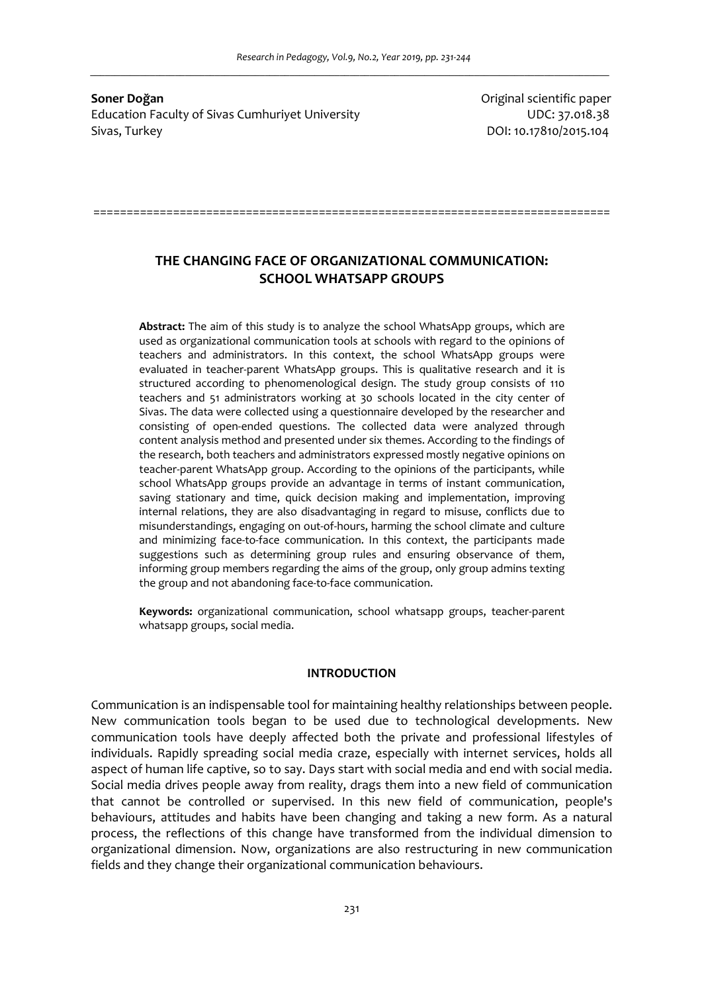**Soner Doğan Contract Contract Contract Contract Contract Contract Contract Contract Contract Contract Contract Contract Contract Contract Contract Contract Contract Contract Contract Contract Contract Contract Contract** Education Faculty of Sivas Cumhuriyet University November 2012 137.018.38 Sivas, Turkey DOI: 10.17810/2015.104

# **THE CHANGING FACE OF ORGANIZATIONAL COMMUNICATION: SCHOOL WHATSAPP GROUPS**

==============================================================================

**Abstract:** The aim of this study is to analyze the school WhatsApp groups, which are used as organizational communication tools at schools with regard to the opinions of teachers and administrators. In this context, the school WhatsApp groups were evaluated in teacher-parent WhatsApp groups. This is qualitative research and it is structured according to phenomenological design. The study group consists of 110 teachers and 51 administrators working at 30 schools located in the city center of Sivas. The data were collected using a questionnaire developed by the researcher and consisting of open-ended questions. The collected data were analyzed through content analysis method and presented under six themes. According to the findings of the research, both teachers and administrators expressed mostly negative opinions on teacher-parent WhatsApp group. According to the opinions of the participants, while school WhatsApp groups provide an advantage in terms of instant communication, saving stationary and time, quick decision making and implementation, improving internal relations, they are also disadvantaging in regard to misuse, conflicts due to misunderstandings, engaging on out-of-hours, harming the school climate and culture and minimizing face-to-face communication. In this context, the participants made suggestions such as determining group rules and ensuring observance of them, informing group members regarding the aims of the group, only group admins texting the group and not abandoning face-to-face communication.

**Keywords:** organizational communication, school whatsapp groups, teacher-parent whatsapp groups, social media.

## **INTRODUCTION**

Communication is an indispensable tool for maintaining healthy relationships between people. New communication tools began to be used due to technological developments. New communication tools have deeply affected both the private and professional lifestyles of individuals. Rapidly spreading social media craze, especially with internet services, holds all aspect of human life captive, so to say. Days start with social media and end with social media. Social media drives people away from reality, drags them into a new field of communication that cannot be controlled or supervised. In this new field of communication, people's behaviours, attitudes and habits have been changing and taking a new form. As a natural process, the reflections of this change have transformed from the individual dimension to organizational dimension. Now, organizations are also restructuring in new communication fields and they change their organizational communication behaviours.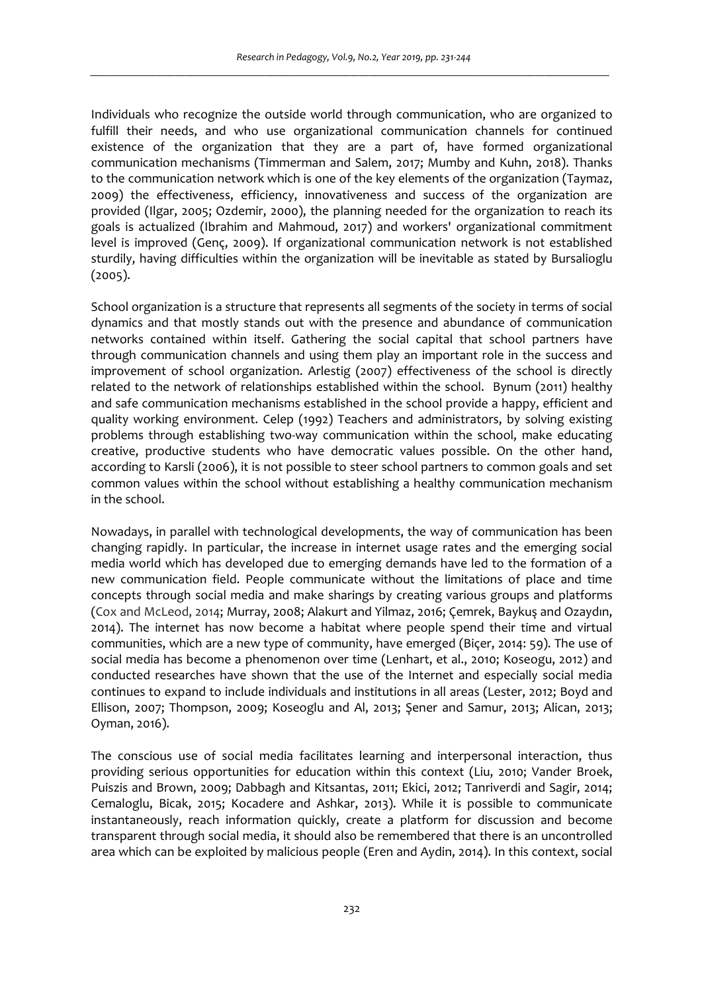Individuals who recognize the outside world through communication, who are organized to fulfill their needs, and who use organizational communication channels for continued existence of the organization that they are a part of, have formed organizational communication mechanisms (Timmerman and Salem, 2017; Mumby and Kuhn, 2018). Thanks to the communication network which is one of the key elements of the organization (Taymaz, 2009) the effectiveness, efficiency, innovativeness and success of the organization are provided (Ilgar, 2005; Ozdemir, 2000), the planning needed for the organization to reach its goals is actualized (Ibrahim and Mahmoud, 2017) and workers' organizational commitment level is improved (Genç, 2009). If organizational communication network is not established sturdily, having difficulties within the organization will be inevitable as stated by Bursalioglu (2005).

School organization is a structure that represents all segments of the society in terms of social dynamics and that mostly stands out with the presence and abundance of communication networks contained within itself. Gathering the social capital that school partners have through communication channels and using them play an important role in the success and improvement of school organization. Arlestig (2007) effectiveness of the school is directly related to the network of relationships established within the school. Bynum (2011) healthy and safe communication mechanisms established in the school provide a happy, efficient and quality working environment. Celep (1992) Teachers and administrators, by solving existing problems through establishing two-way communication within the school, make educating creative, productive students who have democratic values possible. On the other hand, according to Karsli (2006), it is not possible to steer school partners to common goals and set common values within the school without establishing a healthy communication mechanism in the school.

Nowadays, in parallel with technological developments, the way of communication has been changing rapidly. In particular, the increase in internet usage rates and the emerging social media world which has developed due to emerging demands have led to the formation of a new communication field. People communicate without the limitations of place and time concepts through social media and make sharings by creating various groups and platforms (Cox and McLeod, 2014; Murray, 2008; Alakurt and Yilmaz, 2016; Çemrek, Baykuş and Ozaydın, 2014). The internet has now become a habitat where people spend their time and virtual communities, which are a new type of community, have emerged (Biçer, 2014: 59). The use of social media has become a phenomenon over time (Lenhart, et al., 2010; Koseogu, 2012) and conducted researches have shown that the use of the Internet and especially social media continues to expand to include individuals and institutions in all areas (Lester, 2012; Boyd and Ellison, 2007; Thompson, 2009; Koseoglu and Al, 2013; Şener and Samur, 2013; Alican, 2013; Oyman, 2016).

The conscious use of social media facilitates learning and interpersonal interaction, thus providing serious opportunities for education within this context (Liu, 2010; Vander Broek, Puiszis and Brown, 2009; Dabbagh and Kitsantas, 2011; Ekici, 2012; Tanriverdi and Sagir, 2014; Cemaloglu, Bicak, 2015; Kocadere and Ashkar, 2013). While it is possible to communicate instantaneously, reach information quickly, create a platform for discussion and become transparent through social media, it should also be remembered that there is an uncontrolled area which can be exploited by malicious people (Eren and Aydin, 2014). In this context, social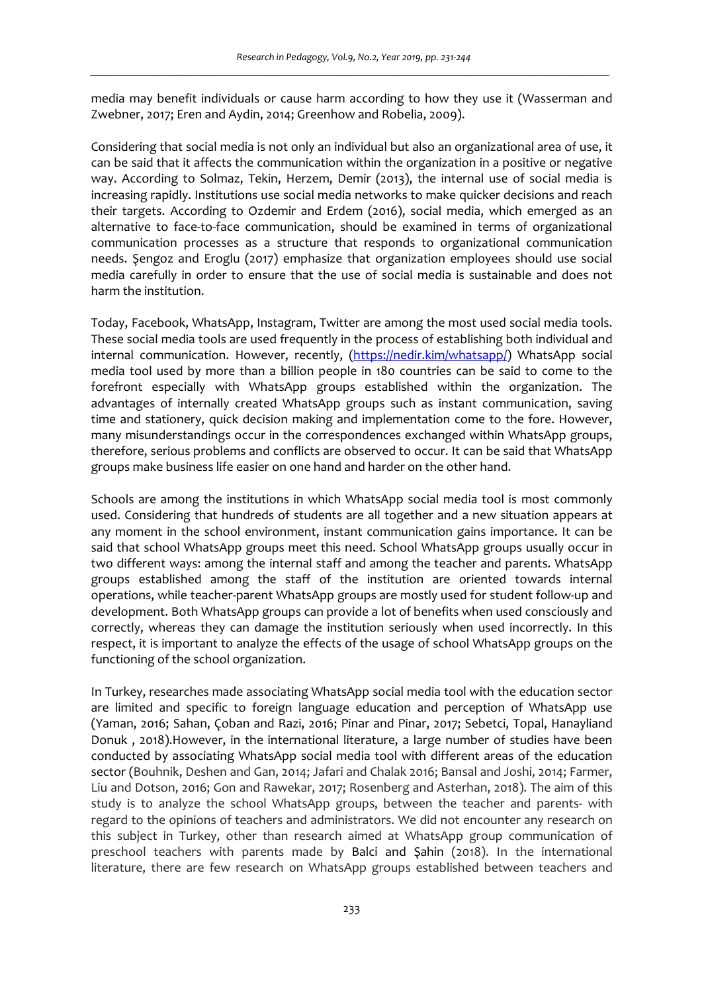media may benefit individuals or cause harm according to how they use it (Wasserman and Zwebner, 2017; Eren and Aydin, 2014; Greenhow and Robelia, 2009).

Considering that social media is not only an individual but also an organizational area of use, it can be said that it affects the communication within the organization in a positive or negative way. According to Solmaz, Tekin, Herzem, Demir (2013), the internal use of social media is increasing rapidly. Institutions use social media networks to make quicker decisions and reach their targets. According to Ozdemir and Erdem (2016), social media, which emerged as an alternative to face-to-face communication, should be examined in terms of organizational communication processes as a structure that responds to organizational communication needs. Şengoz and Eroglu (2017) emphasize that organization employees should use social media carefully in order to ensure that the use of social media is sustainable and does not harm the institution.

Today, Facebook, WhatsApp, Instagram, Twitter are among the most used social media tools. These social media tools are used frequently in the process of establishing both individual and internal communication. However, recently, (https://nedir.kim/whatsapp/) WhatsApp social media tool used by more than a billion people in 180 countries can be said to come to the forefront especially with WhatsApp groups established within the organization. The advantages of internally created WhatsApp groups such as instant communication, saving time and stationery, quick decision making and implementation come to the fore. However, many misunderstandings occur in the correspondences exchanged within WhatsApp groups, therefore, serious problems and conflicts are observed to occur. It can be said that WhatsApp groups make business life easier on one hand and harder on the other hand.

Schools are among the institutions in which WhatsApp social media tool is most commonly used. Considering that hundreds of students are all together and a new situation appears at any moment in the school environment, instant communication gains importance. It can be said that school WhatsApp groups meet this need. School WhatsApp groups usually occur in two different ways: among the internal staff and among the teacher and parents. WhatsApp groups established among the staff of the institution are oriented towards internal operations, while teacher-parent WhatsApp groups are mostly used for student follow-up and development. Both WhatsApp groups can provide a lot of benefits when used consciously and correctly, whereas they can damage the institution seriously when used incorrectly. In this respect, it is important to analyze the effects of the usage of school WhatsApp groups on the functioning of the school organization.

In Turkey, researches made associating WhatsApp social media tool with the education sector are limited and specific to foreign language education and perception of WhatsApp use (Yaman, 2016; Sahan, Çoban and Razi, 2016; Pinar and Pinar, 2017; Sebetci, Topal, Hanayliand Donuk , 2018).However, in the international literature, a large number of studies have been conducted by associating WhatsApp social media tool with different areas of the education sector (Bouhnik, Deshen and Gan, 2014; Jafari and Chalak 2016; Bansal and Joshi, 2014; Farmer, Liu and Dotson, 2016; Gon and Rawekar, 2017; Rosenberg and Asterhan, 2018). The aim of this study is to analyze the school WhatsApp groups, between the teacher and parents- with regard to the opinions of teachers and administrators. We did not encounter any research on this subject in Turkey, other than research aimed at WhatsApp group communication of preschool teachers with parents made by Balci and Şahin (2018). In the international literature, there are few research on WhatsApp groups established between teachers and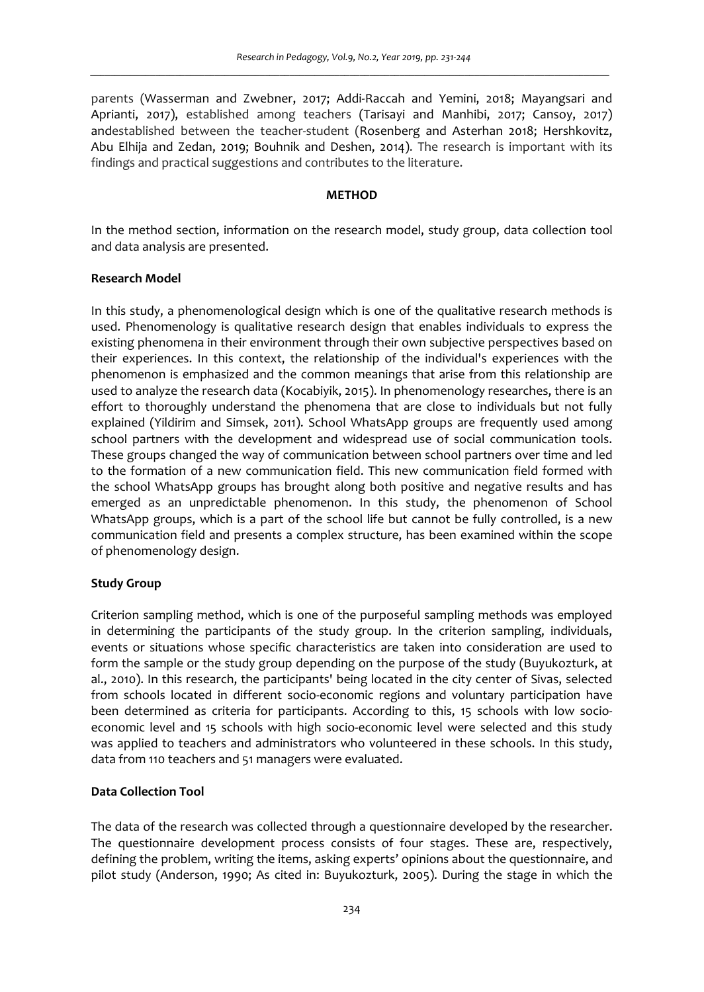parents (Wasserman and Zwebner, 2017; Addi-Raccah and Yemini, 2018; Mayangsari and Aprianti, 2017), established among teachers (Tarisayi and Manhibi, 2017; Cansoy, 2017) andestablished between the teacher-student (Rosenberg and Asterhan 2018; Hershkovitz, Abu Elhija and Zedan, 2019; Bouhnik and Deshen, 2014). The research is important with its findings and practical suggestions and contributes to the literature.

#### **METHOD**

In the method section, information on the research model, study group, data collection tool and data analysis are presented.

#### **Research Model**

In this study, a phenomenological design which is one of the qualitative research methods is used. Phenomenology is qualitative research design that enables individuals to express the existing phenomena in their environment through their own subjective perspectives based on their experiences. In this context, the relationship of the individual's experiences with the phenomenon is emphasized and the common meanings that arise from this relationship are used to analyze the research data (Kocabiyik, 2015). In phenomenology researches, there is an effort to thoroughly understand the phenomena that are close to individuals but not fully explained (Yildirim and Simsek, 2011). School WhatsApp groups are frequently used among school partners with the development and widespread use of social communication tools. These groups changed the way of communication between school partners over time and led to the formation of a new communication field. This new communication field formed with the school WhatsApp groups has brought along both positive and negative results and has emerged as an unpredictable phenomenon. In this study, the phenomenon of School WhatsApp groups, which is a part of the school life but cannot be fully controlled, is a new communication field and presents a complex structure, has been examined within the scope of phenomenology design.

## **Study Group**

Criterion sampling method, which is one of the purposeful sampling methods was employed in determining the participants of the study group. In the criterion sampling, individuals, events or situations whose specific characteristics are taken into consideration are used to form the sample or the study group depending on the purpose of the study (Buyukozturk, at al., 2010). In this research, the participants' being located in the city center of Sivas, selected from schools located in different socio-economic regions and voluntary participation have been determined as criteria for participants. According to this, 15 schools with low socioeconomic level and 15 schools with high socio-economic level were selected and this study was applied to teachers and administrators who volunteered in these schools. In this study, data from 110 teachers and 51 managers were evaluated.

# **Data Collection Tool**

The data of the research was collected through a questionnaire developed by the researcher. The questionnaire development process consists of four stages. These are, respectively, defining the problem, writing the items, asking experts' opinions about the questionnaire, and pilot study (Anderson, 1990; As cited in: Buyukozturk, 2005). During the stage in which the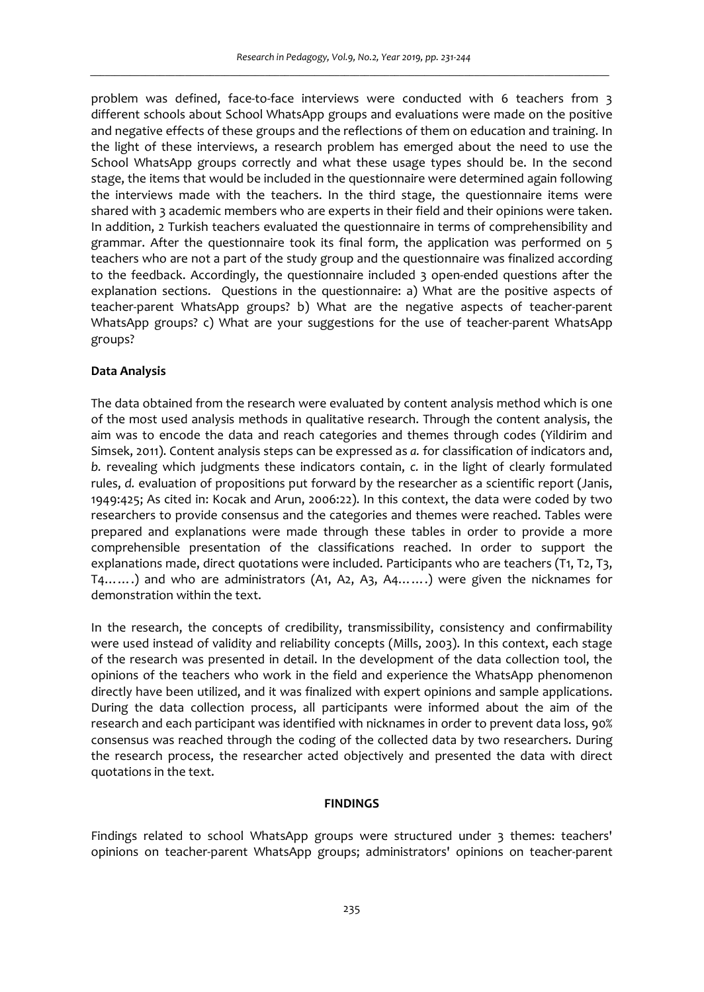problem was defined, face-to-face interviews were conducted with 6 teachers from 3 different schools about School WhatsApp groups and evaluations were made on the positive and negative effects of these groups and the reflections of them on education and training. In the light of these interviews, a research problem has emerged about the need to use the School WhatsApp groups correctly and what these usage types should be. In the second stage, the items that would be included in the questionnaire were determined again following the interviews made with the teachers. In the third stage, the questionnaire items were shared with 3 academic members who are experts in their field and their opinions were taken. In addition, 2 Turkish teachers evaluated the questionnaire in terms of comprehensibility and grammar. After the questionnaire took its final form, the application was performed on 5 teachers who are not a part of the study group and the questionnaire was finalized according to the feedback. Accordingly, the questionnaire included 3 open-ended questions after the explanation sections. Questions in the questionnaire: a) What are the positive aspects of teacher-parent WhatsApp groups? b) What are the negative aspects of teacher-parent WhatsApp groups? c) What are your suggestions for the use of teacher-parent WhatsApp groups?

#### **Data Analysis**

The data obtained from the research were evaluated by content analysis method which is one of the most used analysis methods in qualitative research. Through the content analysis, the aim was to encode the data and reach categories and themes through codes (Yildirim and Simsek, 2011). Content analysis steps can be expressed as *a.* for classification of indicators and, *b.* revealing which judgments these indicators contain, *c.* in the light of clearly formulated rules, *d.* evaluation of propositions put forward by the researcher as a scientific report (Janis, 1949:425; As cited in: Kocak and Arun, 2006:22). In this context, the data were coded by two researchers to provide consensus and the categories and themes were reached. Tables were prepared and explanations were made through these tables in order to provide a more comprehensible presentation of the classifications reached. In order to support the explanations made, direct quotations were included. Participants who are teachers (T1, T2, T3, T4…….) and who are administrators (A1, A2, A3, A4…….) were given the nicknames for demonstration within the text.

In the research, the concepts of credibility, transmissibility, consistency and confirmability were used instead of validity and reliability concepts (Mills, 2003). In this context, each stage of the research was presented in detail. In the development of the data collection tool, the opinions of the teachers who work in the field and experience the WhatsApp phenomenon directly have been utilized, and it was finalized with expert opinions and sample applications. During the data collection process, all participants were informed about the aim of the research and each participant was identified with nicknames in order to prevent data loss, 90% consensus was reached through the coding of the collected data by two researchers. During the research process, the researcher acted objectively and presented the data with direct quotations in the text.

#### **FINDINGS**

Findings related to school WhatsApp groups were structured under 3 themes: teachers' opinions on teacher-parent WhatsApp groups; administrators' opinions on teacher-parent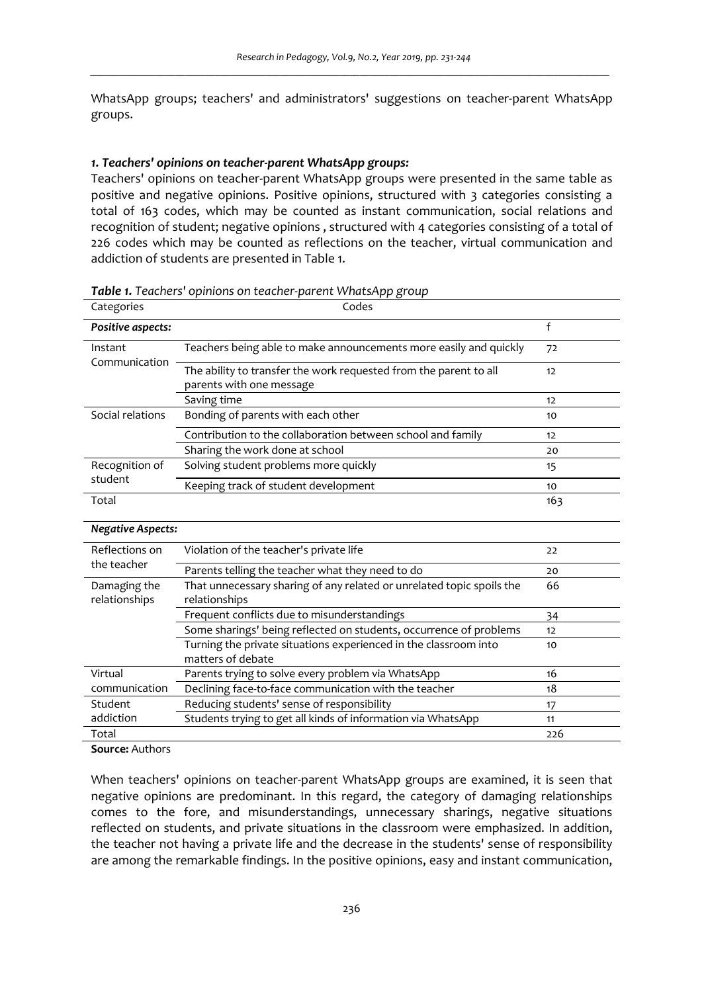WhatsApp groups; teachers' and administrators' suggestions on teacher-parent WhatsApp groups.

#### *1. Teachers' opinions on teacher-parent WhatsApp groups:*

Teachers' opinions on teacher-parent WhatsApp groups were presented in the same table as positive and negative opinions. Positive opinions, structured with 3 categories consisting a total of 163 codes, which may be counted as instant communication, social relations and recognition of student; negative opinions , structured with 4 categories consisting of a total of 226 codes which may be counted as reflections on the teacher, virtual communication and addiction of students are presented in Table 1.

| Categories                    | Codes                                                                                         |     |
|-------------------------------|-----------------------------------------------------------------------------------------------|-----|
| Positive aspects:             |                                                                                               | f   |
| Instant<br>Communication      | Teachers being able to make announcements more easily and quickly                             | 72  |
|                               | The ability to transfer the work requested from the parent to all<br>parents with one message | 12  |
|                               | Saving time                                                                                   | 12  |
| Social relations              | Bonding of parents with each other                                                            | 10  |
|                               | Contribution to the collaboration between school and family                                   | 12  |
|                               | Sharing the work done at school                                                               | 20  |
| Recognition of                | Solving student problems more quickly                                                         | 15  |
| student                       | Keeping track of student development                                                          | 10  |
| Total                         |                                                                                               | 163 |
| <b>Negative Aspects:</b>      |                                                                                               |     |
| Reflections on                | Violation of the teacher's private life                                                       | 22  |
| the teacher                   | Parents telling the teacher what they need to do                                              | 20  |
| Damaging the<br>relationships | That unnecessary sharing of any related or unrelated topic spoils the<br>relationships        | 66  |
|                               | Frequent conflicts due to misunderstandings                                                   | 34  |
|                               | Some sharings' being reflected on students, occurrence of problems                            | 12  |
|                               | Turning the private situations experienced in the classroom into<br>matters of debate         | 10  |
| Virtual                       | Parents trying to solve every problem via WhatsApp                                            | 16  |
| communication                 | Declining face-to-face communication with the teacher                                         | 18  |
| Student                       | Reducing students' sense of responsibility                                                    | 17  |
| addiction                     | Students trying to get all kinds of information via WhatsApp                                  | 11  |
| Total                         |                                                                                               | 226 |
| $\sim$ $\sim$ $\sim$          |                                                                                               |     |

*Table 1. Teachers' opinions on teacher-parent WhatsApp group*

**Source:** Authors

When teachers' opinions on teacher-parent WhatsApp groups are examined, it is seen that negative opinions are predominant. In this regard, the category of damaging relationships comes to the fore, and misunderstandings, unnecessary sharings, negative situations reflected on students, and private situations in the classroom were emphasized. In addition, the teacher not having a private life and the decrease in the students' sense of responsibility are among the remarkable findings. In the positive opinions, easy and instant communication,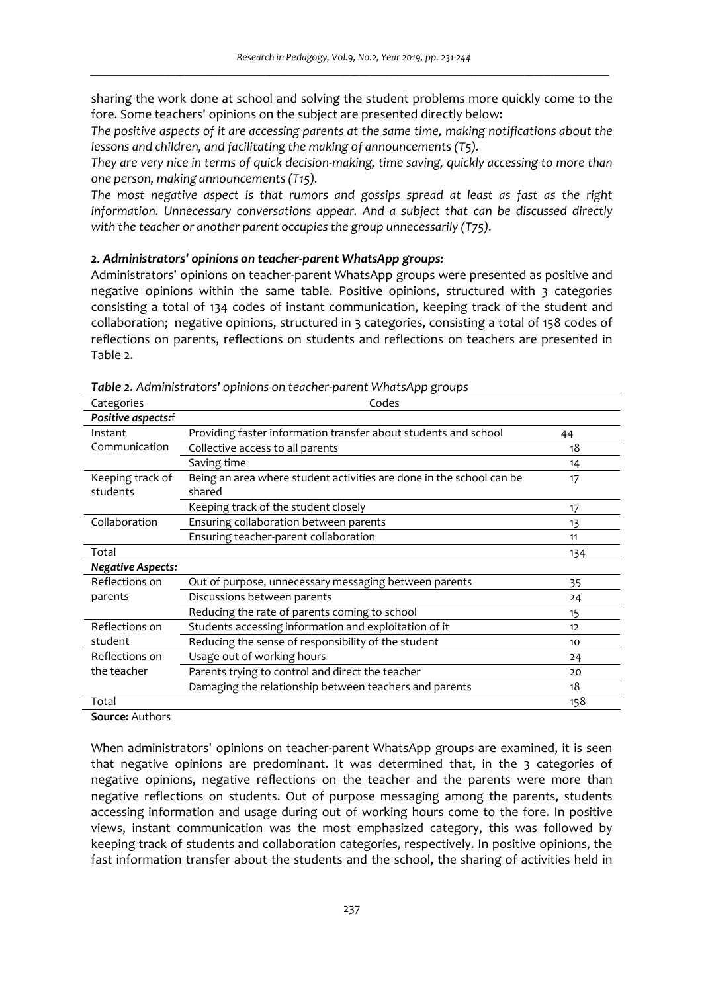sharing the work done at school and solving the student problems more quickly come to the fore. Some teachers' opinions on the subject are presented directly below:

*The positive aspects of it are accessing parents at the same time, making notifications about the lessons and children, and facilitating the making of announcements (T5).* 

*They are very nice in terms of quick decision-making, time saving, quickly accessing to more than one person, making announcements (T15).* 

*The most negative aspect is that rumors and gossips spread at least as fast as the right information. Unnecessary conversations appear. And a subject that can be discussed directly with the teacher or another parent occupies the group unnecessarily (T75).* 

#### *2. Administrators' opinions on teacher-parent WhatsApp groups:*

Administrators' opinions on teacher-parent WhatsApp groups were presented as positive and negative opinions within the same table. Positive opinions, structured with 3 categories consisting a total of 134 codes of instant communication, keeping track of the student and collaboration; negative opinions, structured in 3 categories, consisting a total of 158 codes of reflections on parents, reflections on students and reflections on teachers are presented in Table 2.

| Categories                    | Codes                                                                          |     |
|-------------------------------|--------------------------------------------------------------------------------|-----|
| Positive aspects:f            |                                                                                |     |
| Instant                       | Providing faster information transfer about students and school                | 44  |
| Communication                 | Collective access to all parents                                               | 18  |
|                               | Saving time                                                                    | 14  |
| Keeping track of<br>students  | Being an area where student activities are done in the school can be<br>shared | 17  |
|                               | Keeping track of the student closely                                           | 17  |
| Collaboration                 | Ensuring collaboration between parents                                         | 13  |
|                               | Ensuring teacher-parent collaboration                                          | 11  |
| Total                         |                                                                                | 134 |
| <b>Negative Aspects:</b>      |                                                                                |     |
| Reflections on<br>parents     | Out of purpose, unnecessary messaging between parents                          | 35  |
|                               | Discussions between parents                                                    | 24  |
|                               | Reducing the rate of parents coming to school                                  | 15  |
| Reflections on                | Students accessing information and exploitation of it                          | 12  |
| student                       | Reducing the sense of responsibility of the student                            | 10  |
| Reflections on<br>the teacher | Usage out of working hours                                                     | 24  |
|                               | Parents trying to control and direct the teacher                               | 20  |
|                               | Damaging the relationship between teachers and parents                         | 18  |
| Total                         |                                                                                | 158 |

*Table 2. Administrators' opinions on teacher-parent WhatsApp groups* 

**Source:** Authors

When administrators' opinions on teacher-parent WhatsApp groups are examined, it is seen that negative opinions are predominant. It was determined that, in the 3 categories of negative opinions, negative reflections on the teacher and the parents were more than negative reflections on students. Out of purpose messaging among the parents, students accessing information and usage during out of working hours come to the fore. In positive views, instant communication was the most emphasized category, this was followed by keeping track of students and collaboration categories, respectively. In positive opinions, the fast information transfer about the students and the school, the sharing of activities held in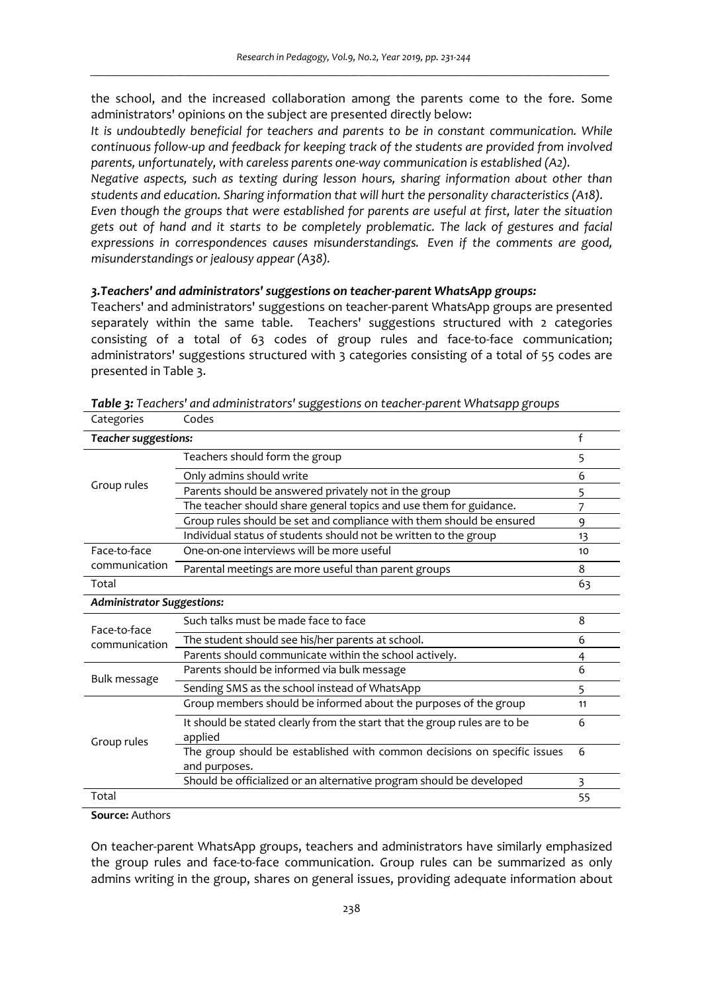the school, and the increased collaboration among the parents come to the fore. Some administrators' opinions on the subject are presented directly below:

*It is undoubtedly beneficial for teachers and parents to be in constant communication. While continuous follow-up and feedback for keeping track of the students are provided from involved parents, unfortunately, with careless parents one-way communication is established (A2). Negative aspects, such as texting during lesson hours, sharing information about other than students and education. Sharing information that will hurt the personality characteristics (A18). Even though the groups that were established for parents are useful at first, later the situation gets out of hand and it starts to be completely problematic. The lack of gestures and facial expressions in correspondences causes misunderstandings. Even if the comments are good, misunderstandings or jealousy appear (A38).* 

# *3.Teachers' and administrators' suggestions on teacher-parent WhatsApp groups:*

Teachers' and administrators' suggestions on teacher-parent WhatsApp groups are presented separately within the same table. Teachers' suggestions structured with 2 categories consisting of a total of 63 codes of group rules and face-to-face communication; administrators' suggestions structured with 3 categories consisting of a total of 55 codes are presented in Table 3.

| Caleguries                        | coucs                                                                     |    |
|-----------------------------------|---------------------------------------------------------------------------|----|
| f<br>Teacher suggestions:         |                                                                           |    |
| Group rules                       | Teachers should form the group                                            | 5  |
|                                   | Only admins should write                                                  | 6  |
|                                   | Parents should be answered privately not in the group                     | 5  |
|                                   | The teacher should share general topics and use them for guidance.        |    |
|                                   | Group rules should be set and compliance with them should be ensured      | 9  |
|                                   | Individual status of students should not be written to the group          | 13 |
| Face-to-face                      | One-on-one interviews will be more useful                                 | 10 |
| communication                     | Parental meetings are more useful than parent groups                      | 8  |
| Total                             |                                                                           | 63 |
| <b>Administrator Suggestions:</b> |                                                                           |    |
| Face-to-face<br>communication     | Such talks must be made face to face                                      | 8  |
|                                   | The student should see his/her parents at school.                         | 6  |
|                                   | Parents should communicate within the school actively.                    | 4  |
| Bulk message                      | Parents should be informed via bulk message                               | 6  |
|                                   | Sending SMS as the school instead of WhatsApp                             | 5  |
| Group rules                       | Group members should be informed about the purposes of the group          | 11 |
|                                   | It should be stated clearly from the start that the group rules are to be | 6  |
|                                   | applied                                                                   |    |
|                                   | The group should be established with common decisions on specific issues  | 6  |
|                                   | and purposes.                                                             |    |
|                                   | Should be officialized or an alternative program should be developed      | 3  |
| Total                             |                                                                           | 55 |

*Table 3: Teachers' and administrators' suggestions on teacher-parent Whatsapp groups* 

**Source:** Authors

Categories Codes

On teacher-parent WhatsApp groups, teachers and administrators have similarly emphasized the group rules and face-to-face communication. Group rules can be summarized as only admins writing in the group, shares on general issues, providing adequate information about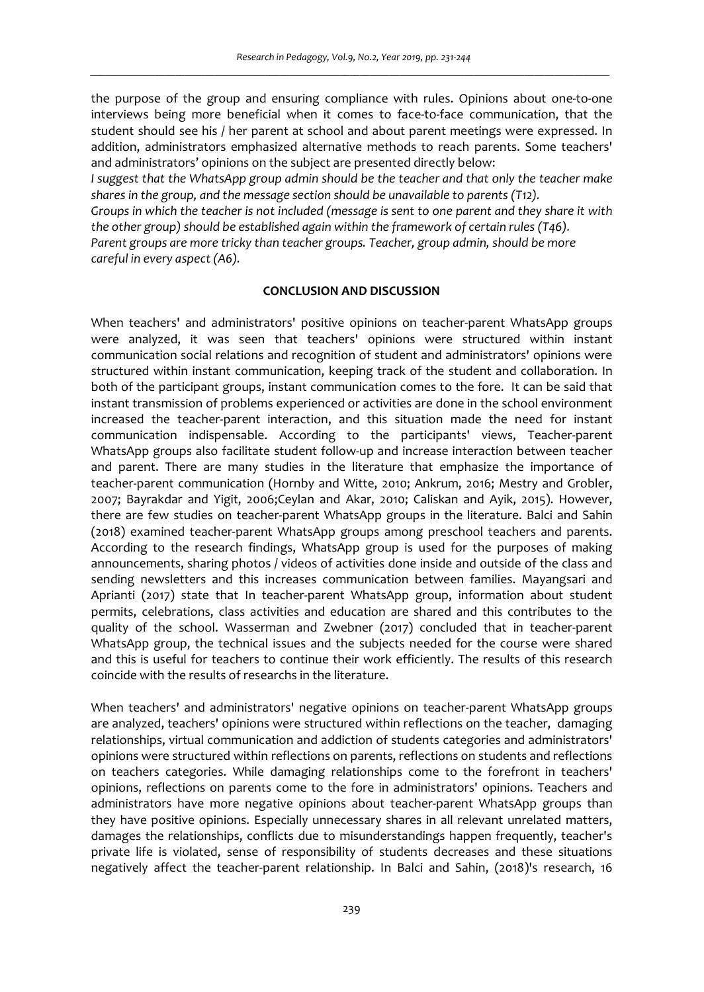the purpose of the group and ensuring compliance with rules. Opinions about one-to-one interviews being more beneficial when it comes to face-to-face communication, that the student should see his / her parent at school and about parent meetings were expressed. In addition, administrators emphasized alternative methods to reach parents. Some teachers' and administrators' opinions on the subject are presented directly below:

*I* suggest that the WhatsApp group admin should be the teacher and that only the teacher make *shares in the group, and the message section should be unavailable to parents (T12).* 

*Groups in which the teacher is not included (message is sent to one parent and they share it with the other group) should be established again within the framework of certain rules (T46). Parent groups are more tricky than teacher groups. Teacher, group admin, should be more* 

*careful in every aspect (A6).*

## **CONCLUSION AND DISCUSSION**

When teachers' and administrators' positive opinions on teacher-parent WhatsApp groups were analyzed, it was seen that teachers' opinions were structured within instant communication social relations and recognition of student and administrators' opinions were structured within instant communication, keeping track of the student and collaboration. In both of the participant groups, instant communication comes to the fore. It can be said that instant transmission of problems experienced or activities are done in the school environment increased the teacher-parent interaction, and this situation made the need for instant communication indispensable. According to the participants' views, Teacher-parent WhatsApp groups also facilitate student follow-up and increase interaction between teacher and parent. There are many studies in the literature that emphasize the importance of teacher-parent communication (Hornby and Witte, 2010; Ankrum, 2016; Mestry and Grobler, 2007; Bayrakdar and Yigit, 2006;Ceylan and Akar, 2010; Caliskan and Ayik, 2015). However, there are few studies on teacher-parent WhatsApp groups in the literature. Balci and Sahin (2018) examined teacher-parent WhatsApp groups among preschool teachers and parents. According to the research findings, WhatsApp group is used for the purposes of making announcements, sharing photos / videos of activities done inside and outside of the class and sending newsletters and this increases communication between families. Mayangsari and Aprianti (2017) state that In teacher-parent WhatsApp group, information about student permits, celebrations, class activities and education are shared and this contributes to the quality of the school. Wasserman and Zwebner (2017) concluded that in teacher-parent WhatsApp group, the technical issues and the subjects needed for the course were shared and this is useful for teachers to continue their work efficiently. The results of this research coincide with the results of researchs in the literature.

When teachers' and administrators' negative opinions on teacher-parent WhatsApp groups are analyzed, teachers' opinions were structured within reflections on the teacher, damaging relationships, virtual communication and addiction of students categories and administrators' opinions were structured within reflections on parents, reflections on students and reflections on teachers categories. While damaging relationships come to the forefront in teachers' opinions, reflections on parents come to the fore in administrators' opinions. Teachers and administrators have more negative opinions about teacher-parent WhatsApp groups than they have positive opinions. Especially unnecessary shares in all relevant unrelated matters, damages the relationships, conflicts due to misunderstandings happen frequently, teacher's private life is violated, sense of responsibility of students decreases and these situations negatively affect the teacher-parent relationship. In Balci and Sahin, (2018)'s research, 16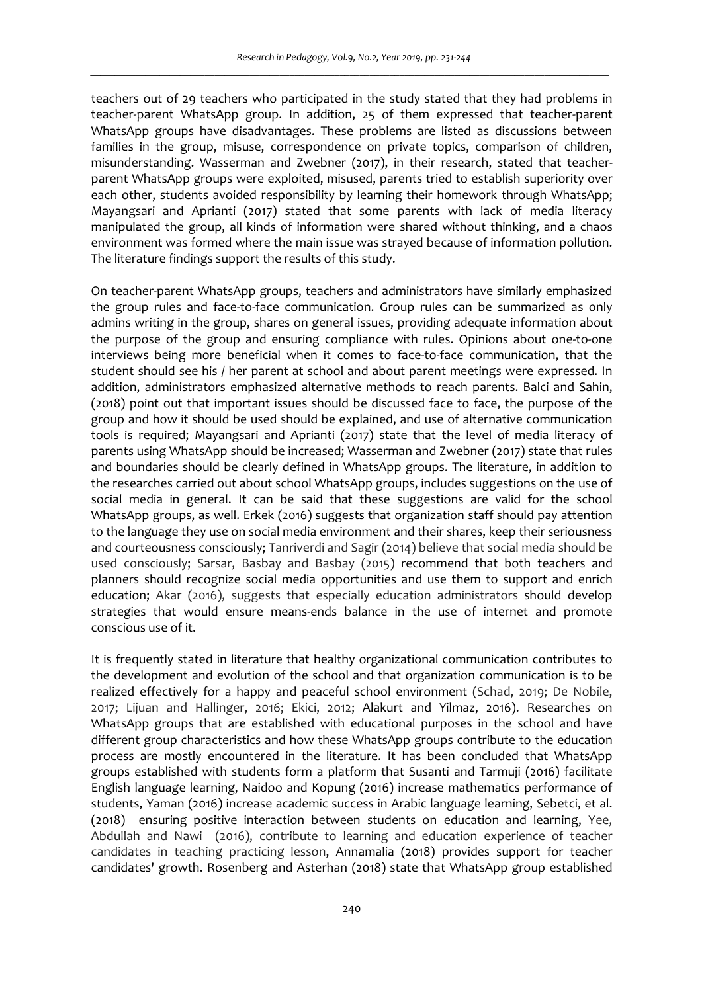teachers out of 29 teachers who participated in the study stated that they had problems in teacher-parent WhatsApp group. In addition, 25 of them expressed that teacher-parent WhatsApp groups have disadvantages. These problems are listed as discussions between families in the group, misuse, correspondence on private topics, comparison of children, misunderstanding. Wasserman and Zwebner (2017), in their research, stated that teacherparent WhatsApp groups were exploited, misused, parents tried to establish superiority over each other, students avoided responsibility by learning their homework through WhatsApp; Mayangsari and Aprianti (2017) stated that some parents with lack of media literacy manipulated the group, all kinds of information were shared without thinking, and a chaos environment was formed where the main issue was strayed because of information pollution. The literature findings support the results of this study.

On teacher-parent WhatsApp groups, teachers and administrators have similarly emphasized the group rules and face-to-face communication. Group rules can be summarized as only admins writing in the group, shares on general issues, providing adequate information about the purpose of the group and ensuring compliance with rules. Opinions about one-to-one interviews being more beneficial when it comes to face-to-face communication, that the student should see his / her parent at school and about parent meetings were expressed. In addition, administrators emphasized alternative methods to reach parents. Balci and Sahin, (2018) point out that important issues should be discussed face to face, the purpose of the group and how it should be used should be explained, and use of alternative communication tools is required; Mayangsari and Aprianti (2017) state that the level of media literacy of parents using WhatsApp should be increased; Wasserman and Zwebner (2017) state that rules and boundaries should be clearly defined in WhatsApp groups. The literature, in addition to the researches carried out about school WhatsApp groups, includes suggestions on the use of social media in general. It can be said that these suggestions are valid for the school WhatsApp groups, as well. Erkek (2016) suggests that organization staff should pay attention to the language they use on social media environment and their shares, keep their seriousness and courteousness consciously; Tanriverdi and Sagir (2014) believe that social media should be used consciously; Sarsar, Basbay and Basbay (2015) recommend that both teachers and planners should recognize social media opportunities and use them to support and enrich education; Akar (2016), suggests that especially education administrators should develop strategies that would ensure means-ends balance in the use of internet and promote conscious use of it.

It is frequently stated in literature that healthy organizational communication contributes to the development and evolution of the school and that organization communication is to be realized effectively for a happy and peaceful school environment (Schad, 2019; De Nobile, 2017; Lijuan and Hallinger, 2016; Ekici, 2012; Alakurt and Yilmaz, 2016). Researches on WhatsApp groups that are established with educational purposes in the school and have different group characteristics and how these WhatsApp groups contribute to the education process are mostly encountered in the literature. It has been concluded that WhatsApp groups established with students form a platform that Susanti and Tarmuji (2016) facilitate English language learning, Naidoo and Kopung (2016) increase mathematics performance of students, Yaman (2016) increase academic success in Arabic language learning, Sebetci, et al. (2018) ensuring positive interaction between students on education and learning, Yee, Abdullah and Nawi (2016), contribute to learning and education experience of teacher candidates in teaching practicing lesson, Annamalia (2018) provides support for teacher candidates' growth. Rosenberg and Asterhan (2018) state that WhatsApp group established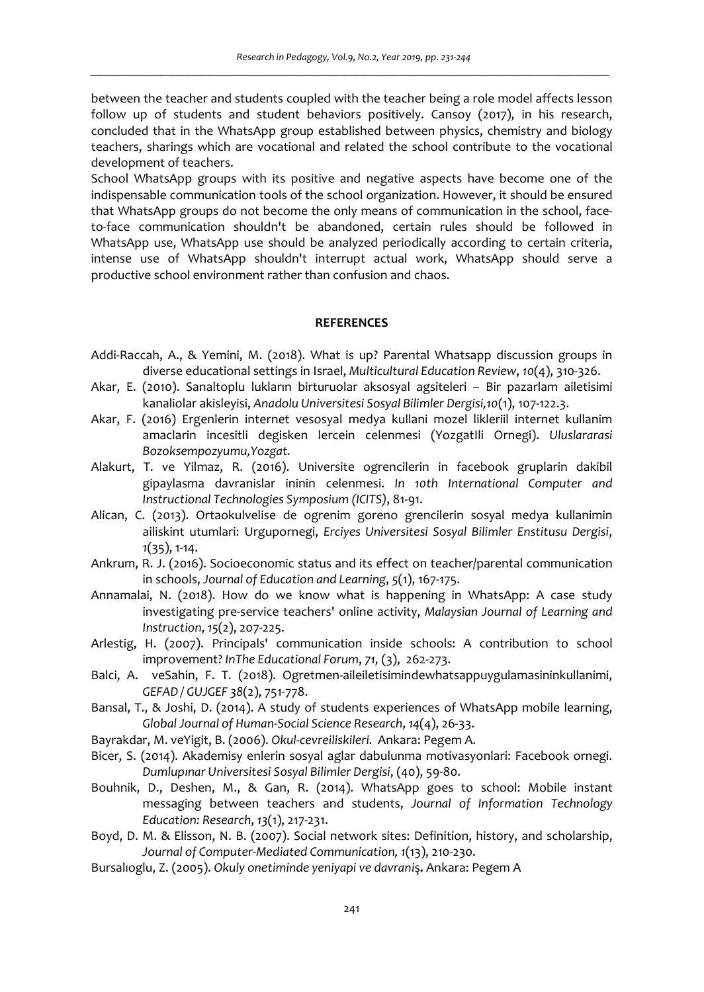between the teacher and students coupled with the teacher being a role model affects lesson follow up of students and student behaviors positively. Cansoy (2017), in his research, concluded that in the WhatsApp group established between physics, chemistry and biology teachers, sharings which are vocational and related the school contribute to the vocational development of teachers.

School WhatsApp groups with its positive and negative aspects have become one of the indispensable communication tools of the school organization. However, it should be ensured that WhatsApp groups do not become the only means of communication in the school, faceto-face communication shouldn't be abandoned, certain rules should be followed in WhatsApp use, WhatsApp use should be analyzed periodically according to certain criteria, intense use of WhatsApp shouldn't interrupt actual work, WhatsApp should serve a productive school environment rather than confusion and chaos.

## **REFERENCES**

- Addi-Raccah, A., & Yemini, M. (2018). What is up? Parental Whatsapp discussion groups in diverse educational settings in Israel, *Multicultural Education Review*, *10*(4), 310-326.
- Akar, E. (2010). Sanaltoplu lukların birturuolar aksosyal agsiteleri Bir pazarlam ailetisimi kanaliolar akisleyisi, *Anadolu Universitesi Sosyal Bilimler Dergisi,10*(1), 107-122.3.
- Akar, F. (2016) Ergenlerin internet vesosyal medya kullani mozel likleriil internet kullanim amaclarin incesitli degisken lercein celenmesi (YozgatIli Ornegi). *Uluslararasi Bozoksempozyumu,Yozgat.*
- Alakurt, T. ve Yilmaz, R. (2016). Universite ogrencilerin in facebook gruplarin dakibil gipaylasma davranislar ininin celenmesi. *In 10th International Computer and Instructional Technologies Symposium (ICITS)*, 81-91.
- Alican, C. (2013). Ortaokulvelise de ogrenim goreno grencilerin sosyal medya kullanimin ailiskint utumlari: Urgupornegi, *Erciyes Universitesi Sosyal Bilimler Enstitusu Dergisi*, *1*(35), 1-14.
- Ankrum, R. J. (2016). Socioeconomic status and its effect on teacher/parental communication in schools, *Journal of Education and Learning*, *5*(1), 167-175.
- Annamalai, N. (2018). How do we know what is happening in WhatsApp: A case study investigating pre-service teachers' online activity, *Malaysian Journal of Learning and Instruction*, *15*(2), 207-225.
- Arlestig, H. (2007). Principals' communication inside schools: A contribution to school improvement? *InThe Educational Forum*, *71,* (3), 262-273.
- Balci, A. veSahin, F. T. (2018). Ogretmen-aileiletisimindewhatsappuygulamasininkullanimi, *GEFAD / GUJGEF 38*(2), 751-778.
- Bansal, T., & Joshi, D. (2014). A study of students experiences of WhatsApp mobile learning, *Global Journal of Human-Social Science Research*, *14*(4), 26-33.
- Bayrakdar, M. veYigit, B. (2006). *Okul-cevreiliskileri.* Ankara: Pegem A.
- Bicer, S. (2014). Akademisy enlerin sosyal aglar dabulunma motivasyonlari: Facebook ornegi. *Dumlupınar Universitesi Sosyal Bilimler Dergisi*, (40), 59-80.
- Bouhnik, D., Deshen, M., & Gan, R. (2014). WhatsApp goes to school: Mobile instant messaging between teachers and students, *Journal of Information Technology Education: Research*, *13*(1), 217-231.
- Boyd, D. M. & Elisson, N. B. (2007). Social network sites: Definition, history, and scholarship, *Journal of Computer-Mediated Communication, 1*(13), 210-230.
- Bursalıoglu, Z. (2005). *Okuly onetiminde yeniyapi ve davrani*ş**.** Ankara: Pegem A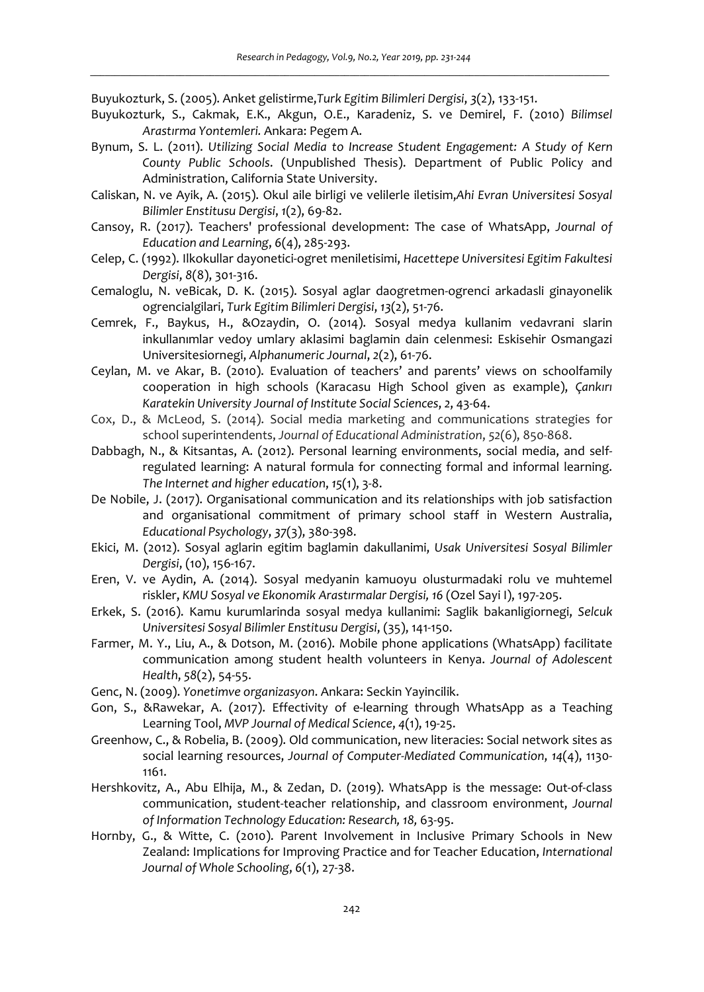Buyukozturk, S. (2005). Anket gelistirme,*Turk Egitim Bilimleri Dergisi*, *3*(2), 133-151.

- Buyukozturk, S., Cakmak, E.K., Akgun, O.E., Karadeniz, S. ve Demirel, F. (2010) *Bilimsel Arastırma Yontemleri.* Ankara: Pegem A.
- Bynum, S. L. (2011). *Utilizing Social Media to Increase Student Engagement: A Study of Kern County Public Schools*. (Unpublished Thesis). Department of Public Policy and Administration, California State University.
- Caliskan, N. ve Ayik, A. (2015). Okul aile birligi ve velilerle iletisim,*Ahi Evran Universitesi Sosyal Bilimler Enstitusu Dergisi*, *1*(2), 69-82.
- Cansoy, R. (2017). Teachers' professional development: The case of WhatsApp, *Journal of Education and Learning*, *6*(4), 285-293.
- Celep, C. (1992). Ilkokullar dayonetici-ogret meniletisimi, *Hacettepe Universitesi Egitim Fakultesi Dergisi*, *8*(8), 301-316.
- Cemaloglu, N. veBicak, D. K. (2015). Sosyal aglar daogretmen-ogrenci arkadasli ginayonelik ogrencialgilari, *Turk Egitim Bilimleri Dergisi*, *13*(2), 51-76.
- Cemrek, F., Baykus, H., &Ozaydin, O. (2014). Sosyal medya kullanim vedavrani slarin inkullanımlar vedoy umlary aklasimi baglamin dain celenmesi: Eskisehir Osmangazi Universitesiornegi, *Alphanumeric Journal*, *2*(2), 61-76.
- Ceylan, M. ve Akar, B. (2010). Evaluation of teachers' and parents' views on schoolfamily cooperation in high schools (Karacasu High School given as example), *Çankırı Karatekin University Journal of Institute Social Sciences*, *2*, 43-64.
- Cox, D., & McLeod, S. (2014). Social media marketing and communications strategies for school superintendents, *Journal of Educational Administration*, *52*(6), 850-868.
- Dabbagh, N., & Kitsantas, A. (2012). Personal learning environments, social media, and selfregulated learning: A natural formula for connecting formal and informal learning. *The Internet and higher education*, *15*(1), 3-8.
- De Nobile, J. (2017). Organisational communication and its relationships with job satisfaction and organisational commitment of primary school staff in Western Australia, *Educational Psychology*, *37*(3), 380-398.
- Ekici, M. (2012). Sosyal aglarin egitim baglamin dakullanimi, *Usak Universitesi Sosyal Bilimler Dergisi*, (10), 156-167.
- Eren, V. ve Aydin, A. (2014). Sosyal medyanin kamuoyu olusturmadaki rolu ve muhtemel riskler, *KMU Sosyal ve Ekonomik Ara*s*tırmalar Dergisi, 16* (Ozel Sayi I), 197-205.
- Erkek, S. (2016). Kamu kurumlarinda sosyal medya kullanimi: Saglik bakanligiornegi, *Selcuk Universitesi Sosyal Bilimler Enstitusu Dergisi*, (35), 141-150.
- Farmer, M. Y., Liu, A., & Dotson, M. (2016). Mobile phone applications (WhatsApp) facilitate communication among student health volunteers in Kenya. *Journal of Adolescent Health*, *58*(2), 54-55.
- Genc, N. (2009). *Yonetimve organizasyon*. Ankara: Seckin Yayincilik.
- Gon, S., &Rawekar, A. (2017). Effectivity of e-learning through WhatsApp as a Teaching Learning Tool, *MVP Journal of Medical Science*, *4*(1), 19-25.
- Greenhow, C., & Robelia, B. (2009). Old communication, new literacies: Social network sites as social learning resources, *Journal of Computer-Mediated Communication*, *14*(4), 1130- 1161.
- Hershkovitz, A., Abu Elhija, M., & Zedan, D. (2019). WhatsApp is the message: Out-of-class communication, student-teacher relationship, and classroom environment, *Journal of Information Technology Education: Research, 18,* 63-95.
- Hornby, G., & Witte, C. (2010). Parent Involvement in Inclusive Primary Schools in New Zealand: Implications for Improving Practice and for Teacher Education, *International Journal of Whole Schooling*, *6*(1), 27-38.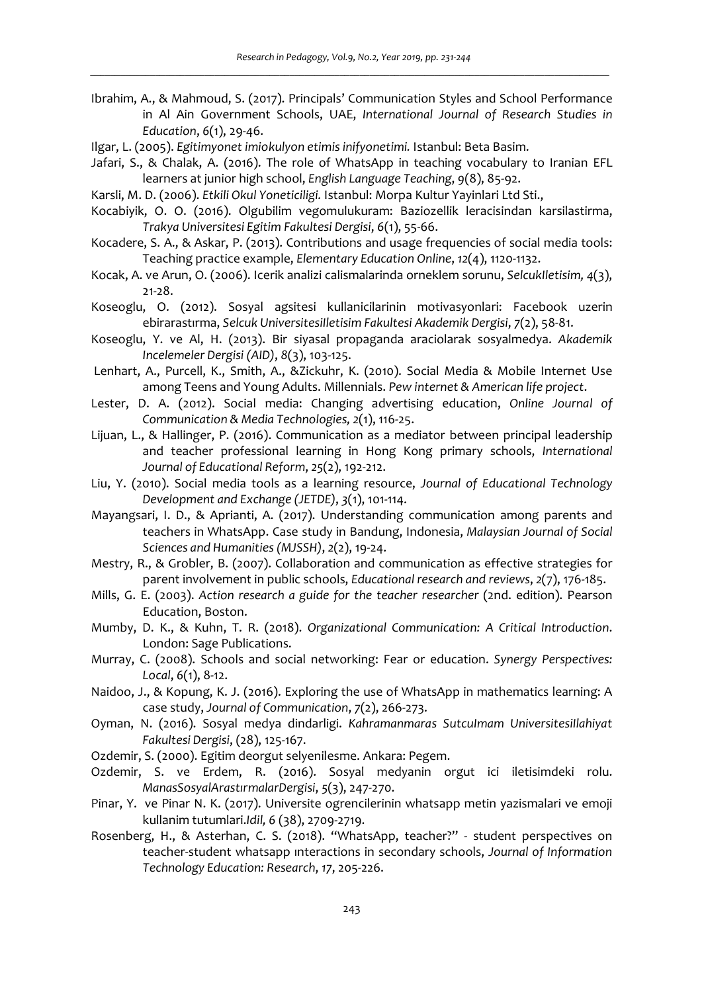- Ibrahim, A., & Mahmoud, S. (2017). Principals' Communication Styles and School Performance in Al Ain Government Schools, UAE, *International Journal of Research Studies in Education*, *6*(1), 29-46.
- Ilgar, L. (2005). *Egitimyonet imiokulyon etimis inifyonetimi.* Istanbul: Beta Basim.
- Jafari, S., & Chalak, A. (2016). The role of WhatsApp in teaching vocabulary to Iranian EFL learners at junior high school, *English Language Teaching*, *9*(8), 85-92.
- Karsli, M. D. (2006). *Etkili Okul Yoneticiligi.* Istanbul: Morpa Kultur Yayinlari Ltd Sti.,
- Kocabiyik, O. O. (2016). Olgubilim vegomulukuram: Baziozellik leracisindan karsilastirma, *Trakya Universitesi Egitim Fakultesi Dergisi*, *6*(1), 55-66.
- Kocadere, S. A., & Askar, P. (2013). Contributions and usage frequencies of social media tools: Teaching practice example, *Elementary Education Online*, *12*(4), 1120-1132.
- Kocak, A. ve Arun, O. (2006). Icerik analizi calismalarinda orneklem sorunu, *SelcukIletisim, 4*(3), 21-28.
- Koseoglu, O. (2012). Sosyal agsitesi kullanicilarinin motivasyonlari: Facebook uzerin ebirarastırma, *Selcuk UniversitesiIletisim Fakultesi Akademik Dergisi*, *7*(2), 58-81.
- Koseoglu, Y. ve Al, H. (2013). Bir siyasal propaganda araciolarak sosyalmedya. *Akademik Incelemeler Dergisi (AID)*, *8*(3), 103-125.
- Lenhart, A., Purcell, K., Smith, A., &Zickuhr, K. (2010). Social Media & Mobile Internet Use among Teens and Young Adults. Millennials. *Pew internet & American life project*.
- Lester, D. A. (2012). Social media: Changing advertising education, *Online Journal of Communication & Media Technologies, 2*(1), 116-25.
- Lijuan, L., & Hallinger, P. (2016). Communication as a mediator between principal leadership and teacher professional learning in Hong Kong primary schools, *International Journal of Educational Reform*, *25*(2), 192-212.
- Liu, Y. (2010). Social media tools as a learning resource, *Journal of Educational Technology Development and Exchange (JETDE)*, *3*(1), 101-114.
- Mayangsari, I. D., & Aprianti, A. (2017). Understanding communication among parents and teachers in WhatsApp. Case study in Bandung, Indonesia, *Malaysian Journal of Social Sciences and Humanities (MJSSH)*, *2*(2), 19-24.
- Mestry, R., & Grobler, B. (2007). Collaboration and communication as effective strategies for parent involvement in public schools, *Educational research and reviews*, *2*(7), 176-185.
- Mills, G. E. (2003). Action research a guide for the teacher researcher (2nd. edition). Pearson Education, Boston.
- Mumby, D. K., & Kuhn, T. R. (2018). *Organizational Communication: A Critical Introduction*. London: Sage Publications.
- Murray, C. (2008). Schools and social networking: Fear or education. *Synergy Perspectives: Local*, *6*(1), 8-12.
- Naidoo, J., & Kopung, K. J. (2016). Exploring the use of WhatsApp in mathematics learning: A case study, *Journal of Communication*, *7*(2), 266-273.
- Oyman, N. (2016). Sosyal medya dindarligi. *Kahramanmaras SutcuImam UniversitesiIlahiyat Fakultesi Dergisi*, (28), 125-167.
- Ozdemir, S. (2000). Egitim deorgut selyenilesme. Ankara: Pegem.
- Ozdemir, S. ve Erdem, R. (2016). Sosyal medyanin orgut ici iletisimdeki rolu. *ManasSosyalArastırmalarDergisi*, *5*(3), 247-270.
- Pinar, Y. ve Pinar N. K. (2017). Universite ogrencilerinin whatsapp metin yazismalari ve emoji kullanim tutumlari.*Idil, 6* (38), 2709-2719.
- Rosenberg, H., & Asterhan, C. S. (2018). "WhatsApp, teacher?" student perspectives on teacher-student whatsapp ınteractions in secondary schools, *Journal of Information Technology Education: Research*, *17*, 205-226.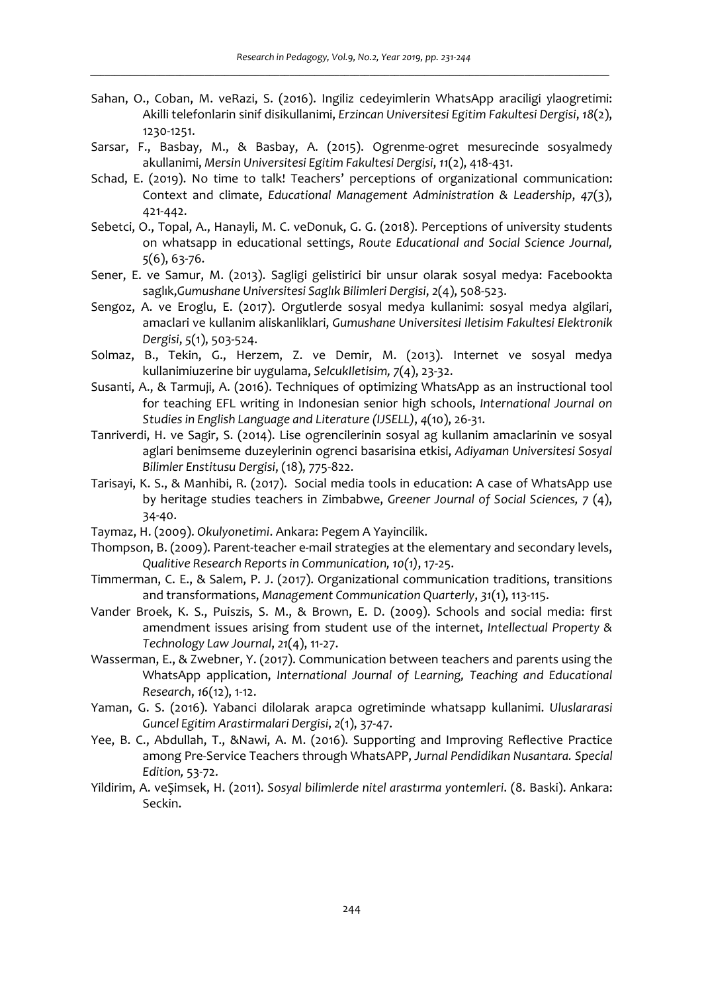- Sahan, O., Coban, M. veRazi, S. (2016). Ingiliz cedeyimlerin WhatsApp araciligi ylaogretimi: Akilli telefonlarin sinif disikullanimi, *Erzincan Universitesi Egitim Fakultesi Dergisi*, *18*(2), 1230-1251.
- Sarsar, F., Basbay, M., & Basbay, A. (2015). Ogrenme-ogret mesurecinde sosyalmedy akullanimi, *Mersin Universitesi Egitim Fakultesi Dergisi*, *11*(2), 418-431.
- Schad, E. (2019). No time to talk! Teachers' perceptions of organizational communication: Context and climate, *Educational Management Administration & Leadership*, *47*(3), 421-442.
- Sebetci, O., Topal, A., Hanayli, M. C. veDonuk, G. G. (2018). Perceptions of university students on whatsapp in educational settings, *Route Educational and Social Science Journal, 5*(6), 63-76.
- Sener, E. ve Samur, M. (2013). Sagligi gelistirici bir unsur olarak sosyal medya: Facebookta saglık,*Gumushane Universitesi Saglık Bilimleri Dergisi*, *2*(4), 508-523.
- Sengoz, A. ve Eroglu, E. (2017). Orgutlerde sosyal medya kullanimi: sosyal medya algilari, amaclari ve kullanim aliskanliklari, *Gumushane Universitesi Iletisim Fakultesi Elektronik Dergisi*, *5*(1), 503-524.
- Solmaz, B., Tekin, G., Herzem, Z. ve Demir, M. (2013). Internet ve sosyal medya kullanimiuzerine bir uygulama, *SelcukIletisim, 7*(4), 23-32.
- Susanti, A., & Tarmuji, A. (2016). Techniques of optimizing WhatsApp as an instructional tool for teaching EFL writing in Indonesian senior high schools, *International Journal on Studies in English Language and Literature (IJSELL)*, *4*(10), 26-31.
- Tanriverdi, H. ve Sagir, S. (2014). Lise ogrencilerinin sosyal ag kullanim amaclarinin ve sosyal aglari benimseme duzeylerinin ogrenci basarisina etkisi, *Adiyaman Universitesi Sosyal Bilimler Enstitusu Dergisi*, (18), 775-822.
- Tarisayi, K. S., & Manhibi, R. (2017). Social media tools in education: A case of WhatsApp use by heritage studies teachers in Zimbabwe, *Greener Journal of Social Sciences, 7* (4), 34-40.
- Taymaz, H. (2009). *Okulyonetimi*. Ankara: Pegem A Yayincilik.
- Thompson, B. (2009). Parent-teacher e-mail strategies at the elementary and secondary levels, *Qualitive Research Reports in Communication, 10(1)*, 17-25.
- Timmerman, C. E., & Salem, P. J. (2017). Organizational communication traditions, transitions and transformations, *Management Communication Quarterly*, *31*(1), 113-115.
- Vander Broek, K. S., Puiszis, S. M., & Brown, E. D. (2009). Schools and social media: first amendment issues arising from student use of the internet, *Intellectual Property & Technology Law Journal*, *21*(4), 11-27.
- Wasserman, E., & Zwebner, Y. (2017). Communication between teachers and parents using the WhatsApp application, *International Journal of Learning, Teaching and Educational Research*, *16*(12), 1-12.
- Yaman, G. S. (2016). Yabanci dilolarak arapca ogretiminde whatsapp kullanimi. *Uluslararasi Guncel Egitim Arastirmalari Dergisi*, *2*(1), 37-47.
- Yee, B. C., Abdullah, T., &Nawi, A. M. (2016). Supporting and Improving Reflective Practice among Pre-Service Teachers through WhatsAPP, *Jurnal Pendidikan Nusantara. Special Edition,* 53-72.
- Yildirim, A. veŞimsek, H. (2011). *Sosyal bilimlerde nitel arastırma yontemleri*. (8. Baski). Ankara: Seckin.